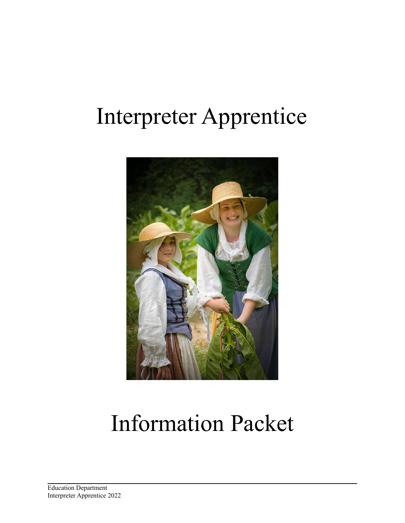## Interpreter Apprentice



# Information Packet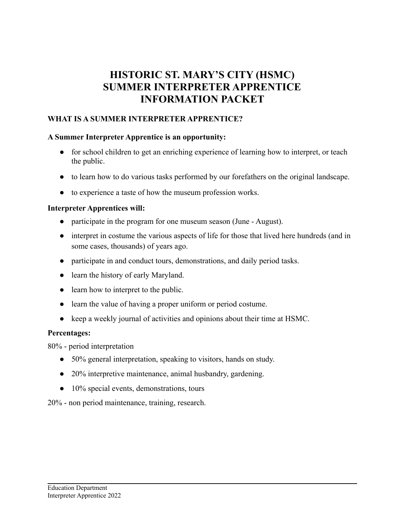## **HISTORIC ST. MARY'S CITY (HSMC) SUMMER INTERPRETER APPRENTICE INFORMATION PACKET**

## **WHAT IS A SUMMER INTERPRETER APPRENTICE?**

## **A Summer Interpreter Apprentice is an opportunity:**

- for school children to get an enriching experience of learning how to interpret, or teach the public.
- to learn how to do various tasks performed by our forefathers on the original landscape.
- to experience a taste of how the museum profession works.

## **Interpreter Apprentices will:**

- participate in the program for one museum season (June August).
- interpret in costume the various aspects of life for those that lived here hundreds (and in some cases, thousands) of years ago.
- participate in and conduct tours, demonstrations, and daily period tasks.
- learn the history of early Maryland.
- learn how to interpret to the public.
- learn the value of having a proper uniform or period costume.
- keep a weekly journal of activities and opinions about their time at HSMC.

## **Percentages:**

80% - period interpretation

- 50% general interpretation, speaking to visitors, hands on study.
- 20% interpretive maintenance, animal husbandry, gardening.
- 10% special events, demonstrations, tours

20% - non period maintenance, training, research.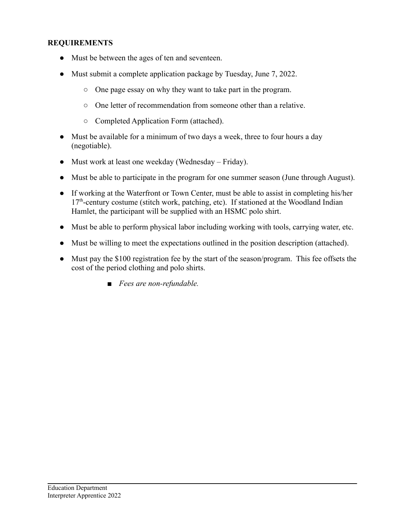## **REQUIREMENTS**

- Must be between the ages of ten and seventeen.
- Must submit a complete application package by Tuesday, June 7, 2022.
	- One page essay on why they want to take part in the program.
	- One letter of recommendation from someone other than a relative.
	- Completed Application Form (attached).
- Must be available for a minimum of two days a week, three to four hours a day (negotiable).
- Must work at least one weekday (Wednesday Friday).
- Must be able to participate in the program for one summer season (June through August).
- If working at the Waterfront or Town Center, must be able to assist in completing his/her 17<sup>th</sup>-century costume (stitch work, patching, etc). If stationed at the Woodland Indian Hamlet, the participant will be supplied with an HSMC polo shirt.
- Must be able to perform physical labor including working with tools, carrying water, etc.
- Must be willing to meet the expectations outlined in the position description (attached).
- Must pay the \$100 registration fee by the start of the season/program. This fee offsets the cost of the period clothing and polo shirts.
	- *■ Fees are non-refundable.*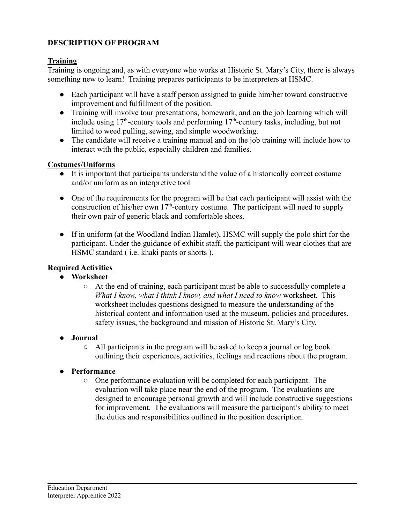## **DESCRIPTION OF PROGRAM**

## **Training**

Training is ongoing and, as with everyone who works at Historic St. Mary's City, there is always something new to learn! Training prepares participants to be interpreters at HSMC.

- Each participant will have a staff person assigned to guide him/her toward constructive improvement and fulfillment of the position.
- Training will involve tour presentations, homework, and on the job learning which will include using  $17<sup>th</sup>$ -century tools and performing  $17<sup>th</sup>$ -century tasks, including, but not limited to weed pulling, sewing, and simple woodworking.
- The candidate will receive a training manual and on the job training will include how to interact with the public, especially children and families.

## **Costumes/Uniforms**

- It is important that participants understand the value of a historically correct costume and/or uniform as an interpretive tool
- One of the requirements for the program will be that each participant will assist with the construction of his/her own  $17<sup>th</sup>$ -century costume. The participant will need to supply their own pair of generic black and comfortable shoes.
- If in uniform (at the Woodland Indian Hamlet), HSMC will supply the polo shirt for the participant. Under the guidance of exhibit staff, the participant will wear clothes that are HSMC standard ( i.e. khaki pants or shorts ).

## **Required Activities**

## **● Worksheet**

- At the end of training, each participant must be able to successfully complete a *What I know, what I think I know, and what I need to know* worksheet. This worksheet includes questions designed to measure the understanding of the historical content and information used at the museum, policies and procedures, safety issues, the background and mission of Historic St. Mary's City.
- **● Journal**
	- All participants in the program will be asked to keep a journal or log book outlining their experiences, activities, feelings and reactions about the program.

## **● Performance**

○ One performance evaluation will be completed for each participant. The evaluation will take place near the end of the program. The evaluations are designed to encourage personal growth and will include constructive suggestions for improvement. The evaluations will measure the participant's ability to meet the duties and responsibilities outlined in the position description.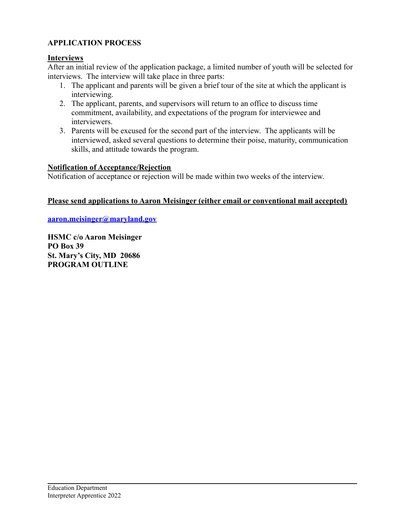## **APPLICATION PROCESS**

#### **Interviews**

After an initial review of the application package, a limited number of youth will be selected for interviews. The interview will take place in three parts:

- 1. The applicant and parents will be given a brief tour of the site at which the applicant is interviewing.
- 2. The applicant, parents, and supervisors will return to an office to discuss time commitment, availability, and expectations of the program for interviewee and interviewers.
- 3. Parents will be excused for the second part of the interview. The applicants will be interviewed, asked several questions to determine their poise, maturity, communication skills, and attitude towards the program.

#### **Notification of Acceptance/Rejection**

Notification of acceptance or rejection will be made within two weeks of the interview.

## **Please send applications to Aaron Meisinger (either email or conventional mail accepted)**

**[aaron.meisinger@maryland.gov](mailto:AaronM@digshistory.org)**

**HSMC c/o Aaron Meisinger PO Box 39 St. Mary's City, MD 20686 PROGRAM OUTLINE**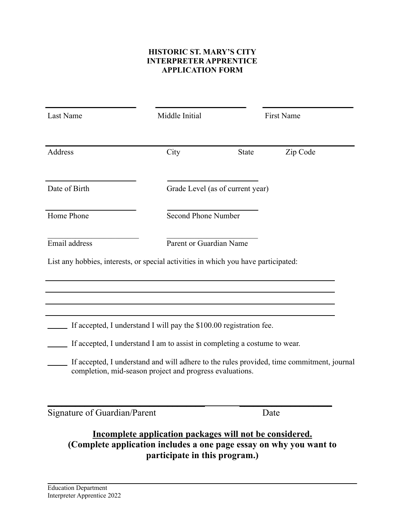## **HISTORIC ST. MARY'S CITY INTERPRETER APPRENTICE APPLICATION FORM**

| Last Name                                                                          | Middle Initial                                                                                                                                   | First Name   |                                                                                           |
|------------------------------------------------------------------------------------|--------------------------------------------------------------------------------------------------------------------------------------------------|--------------|-------------------------------------------------------------------------------------------|
| Address                                                                            | City                                                                                                                                             | <b>State</b> | Zip Code                                                                                  |
| Date of Birth                                                                      | Grade Level (as of current year)                                                                                                                 |              |                                                                                           |
| Home Phone                                                                         | <b>Second Phone Number</b>                                                                                                                       |              |                                                                                           |
| Email address                                                                      | Parent or Guardian Name                                                                                                                          |              |                                                                                           |
| List any hobbies, interests, or special activities in which you have participated: |                                                                                                                                                  |              |                                                                                           |
|                                                                                    | If accepted, I understand I will pay the \$100.00 registration fee.<br>If accepted, I understand I am to assist in completing a costume to wear. |              |                                                                                           |
|                                                                                    | completion, mid-season project and progress evaluations.                                                                                         |              | If accepted, I understand and will adhere to the rules provided, time commitment, journal |
| <b>Signature of Guardian/Parent</b>                                                |                                                                                                                                                  | Date         |                                                                                           |

## **Incomplete application packages will not be considered. (Complete application includes a one page essay on why you want to participate in this program.)**